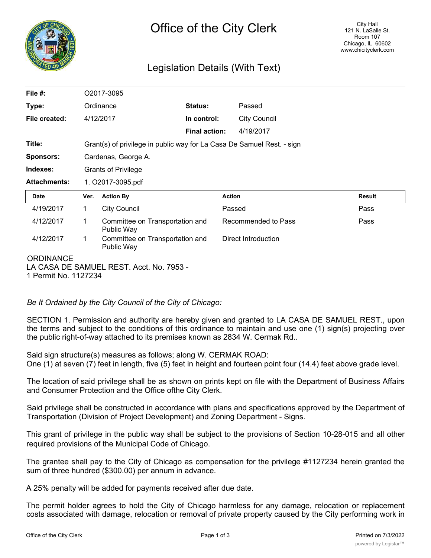

# Legislation Details (With Text)

| File $#$ :                            | O <sub>2017</sub> -3095                                                |                                               |                      |                     |                     |               |
|---------------------------------------|------------------------------------------------------------------------|-----------------------------------------------|----------------------|---------------------|---------------------|---------------|
| Type:                                 | Ordinance                                                              |                                               | <b>Status:</b>       |                     | Passed              |               |
| File created:                         |                                                                        | 4/12/2017                                     | In control:          |                     | <b>City Council</b> |               |
|                                       |                                                                        |                                               | <b>Final action:</b> |                     | 4/19/2017           |               |
| Title:                                | Grant(s) of privilege in public way for La Casa De Samuel Rest. - sign |                                               |                      |                     |                     |               |
| <b>Sponsors:</b>                      | Cardenas, George A.                                                    |                                               |                      |                     |                     |               |
| Indexes:                              | <b>Grants of Privilege</b>                                             |                                               |                      |                     |                     |               |
| <b>Attachments:</b>                   | 1. O2017-3095.pdf                                                      |                                               |                      |                     |                     |               |
| <b>Date</b>                           | Ver.                                                                   | <b>Action By</b>                              |                      | <b>Action</b>       |                     | <b>Result</b> |
| 4/19/2017                             | 1                                                                      | <b>City Council</b>                           |                      | Passed              |                     | Pass          |
| 4/12/2017                             | 1                                                                      | Committee on Transportation and<br>Public Way |                      | Recommended to Pass |                     | Pass          |
| 4/12/2017                             | 1                                                                      | Committee on Transportation and<br>Public Way |                      |                     | Direct Introduction |               |
| <b>ORDINANCE</b><br>1.7.111.1.1.07001 |                                                                        | LA CASA DE SAMUEL REST. Acct. No. 7953 -      |                      |                     |                     |               |

1 Permit No. 1127234

*Be It Ordained by the City Council of the City of Chicago:*

SECTION 1. Permission and authority are hereby given and granted to LA CASA DE SAMUEL REST., upon the terms and subject to the conditions of this ordinance to maintain and use one (1) sign(s) projecting over the public right-of-way attached to its premises known as 2834 W. Cermak Rd..

Said sign structure(s) measures as follows; along W. CERMAK ROAD: One (1) at seven (7) feet in length, five (5) feet in height and fourteen point four (14.4) feet above grade level.

The location of said privilege shall be as shown on prints kept on file with the Department of Business Affairs and Consumer Protection and the Office ofthe City Clerk.

Said privilege shall be constructed in accordance with plans and specifications approved by the Department of Transportation (Division of Project Development) and Zoning Department - Signs.

This grant of privilege in the public way shall be subject to the provisions of Section 10-28-015 and all other required provisions of the Municipal Code of Chicago.

The grantee shall pay to the City of Chicago as compensation for the privilege #1127234 herein granted the sum of three hundred (\$300.00) per annum in advance.

A 25% penalty will be added for payments received after due date.

The permit holder agrees to hold the City of Chicago harmless for any damage, relocation or replacement costs associated with damage, relocation or removal of private property caused by the City performing work in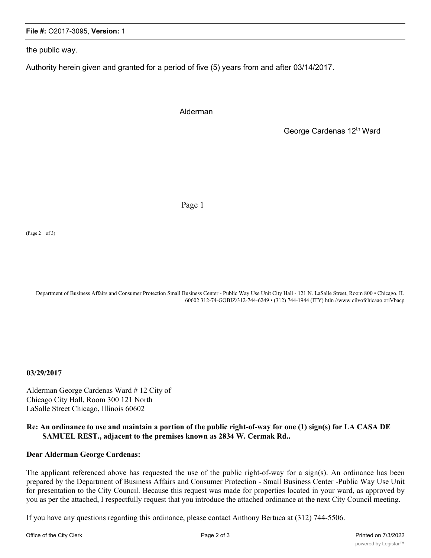#### **File #:** O2017-3095, **Version:** 1

the public way.

Authority herein given and granted for a period of five (5) years from and after 03/14/2017.

Alderman

George Cardenas 12<sup>th</sup> Ward

Page 1

(Page 2 of 3)

Department of Business Affairs and Consumer Protection Small Business Center - Public Way Use Unit City Hall - 121 N. LaSalle Street, Room 800 • Chicago, IL 60602 312-74-GOBIZ/312-744-6249 • (312) 744-1944 (ITY) htln //www cilvofchicaao oriVbacp

**03/29/2017**

Alderman George Cardenas Ward # 12 City of Chicago City Hall, Room 300 121 North LaSalle Street Chicago, Illinois 60602

### **Re: An ordinance to use and maintain a portion of the public right-of-way for one (1) sign(s) for LA CASA DE SAMUEL REST., adjacent to the premises known as 2834 W. Cermak Rd..**

#### **Dear Alderman George Cardenas:**

The applicant referenced above has requested the use of the public right-of-way for a sign(s). An ordinance has been prepared by the Department of Business Affairs and Consumer Protection - Small Business Center -Public Way Use Unit for presentation to the City Council. Because this request was made for properties located in your ward, as approved by you as per the attached, I respectfully request that you introduce the attached ordinance at the next City Council meeting.

If you have any questions regarding this ordinance, please contact Anthony Bertuca at (312) 744-5506.